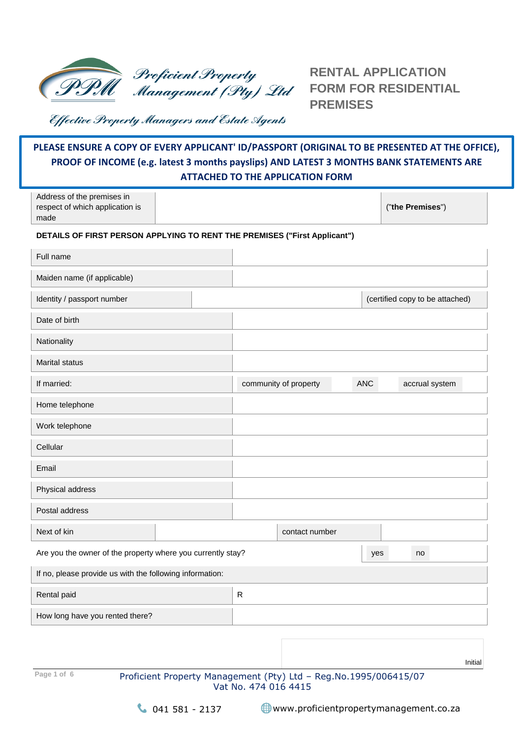

**RENTAL APPLICATION FORM FOR RESIDENTIAL PREMISES**

Effective Property Managers and Estate Agents

# **PLEASE ENSURE A COPY OF EVERY APPLICANT' ID/PASSPORT (ORIGINAL TO BE PRESENTED AT THE OFFICE), PROOF OF INCOME (e.g. latest 3 months payslips) AND LATEST 3 MONTHS BANK STATEMENTS ARE ATTACHED TO THE APPLICATION FORM**

| Address of the premises in<br>respect of which application is<br>made     |                       |            | ("the Premises")                |
|---------------------------------------------------------------------------|-----------------------|------------|---------------------------------|
| DETAILS OF FIRST PERSON APPLYING TO RENT THE PREMISES ("First Applicant") |                       |            |                                 |
| Full name                                                                 |                       |            |                                 |
| Maiden name (if applicable)                                               |                       |            |                                 |
| Identity / passport number                                                |                       |            | (certified copy to be attached) |
| Date of birth                                                             |                       |            |                                 |
| Nationality                                                               |                       |            |                                 |
| <b>Marital status</b>                                                     |                       |            |                                 |
| If married:                                                               | community of property | <b>ANC</b> | accrual system                  |
| Home telephone                                                            |                       |            |                                 |
| Work telephone                                                            |                       |            |                                 |
| Cellular                                                                  |                       |            |                                 |
| Email                                                                     |                       |            |                                 |
| Physical address                                                          |                       |            |                                 |
| Postal address                                                            |                       |            |                                 |
| Next of kin                                                               | contact number        |            |                                 |
| Are you the owner of the property where you currently stay?               |                       | yes        | no                              |
| If no, please provide us with the following information:                  |                       |            |                                 |
| Rental paid                                                               | ${\sf R}$             |            |                                 |
| How long have you rented there?                                           |                       |            |                                 |

Page 1 of 6 Proficient Property Management (Pty) Ltd - Reg.No.1995/006415/07 Vat No. 474 016 4415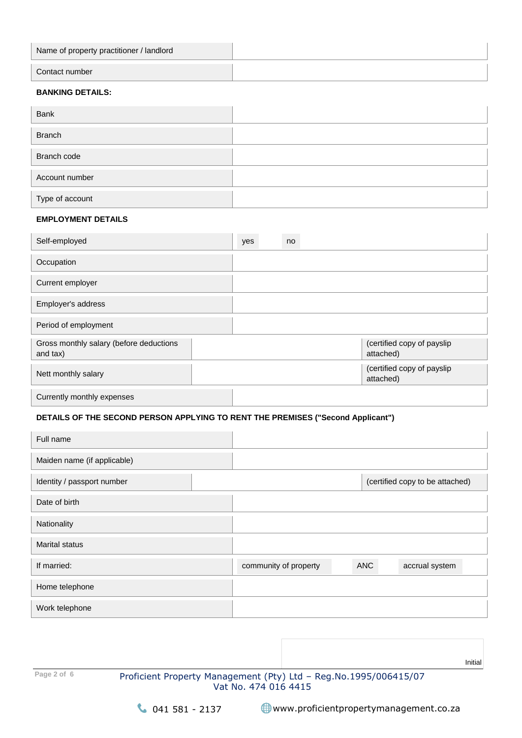| Name of property practitioner / landlord |  |
|------------------------------------------|--|
| Contact number                           |  |

## **BANKING DETAILS:**

| Bank            |  |
|-----------------|--|
| <b>Branch</b>   |  |
| Branch code     |  |
| Account number  |  |
| Type of account |  |

#### **EMPLOYMENT DETAILS**

| Self-employed                                       | yes | no |                                         |
|-----------------------------------------------------|-----|----|-----------------------------------------|
| Occupation                                          |     |    |                                         |
| Current employer                                    |     |    |                                         |
| Employer's address                                  |     |    |                                         |
| Period of employment                                |     |    |                                         |
| Gross monthly salary (before deductions<br>and tax) |     |    | (certified copy of payslip<br>attached) |
| Nett monthly salary                                 |     |    | (certified copy of payslip<br>attached) |
| Currently monthly expenses                          |     |    |                                         |

# **DETAILS OF THE SECOND PERSON APPLYING TO RENT THE PREMISES ("Second Applicant")**

| Full name                   |                       |            |                                 |  |
|-----------------------------|-----------------------|------------|---------------------------------|--|
| Maiden name (if applicable) |                       |            |                                 |  |
| Identity / passport number  |                       |            | (certified copy to be attached) |  |
| Date of birth               |                       |            |                                 |  |
| Nationality                 |                       |            |                                 |  |
| <b>Marital status</b>       |                       |            |                                 |  |
| If married:                 | community of property | <b>ANC</b> | accrual system                  |  |
| Home telephone              |                       |            |                                 |  |
| Work telephone              |                       |            |                                 |  |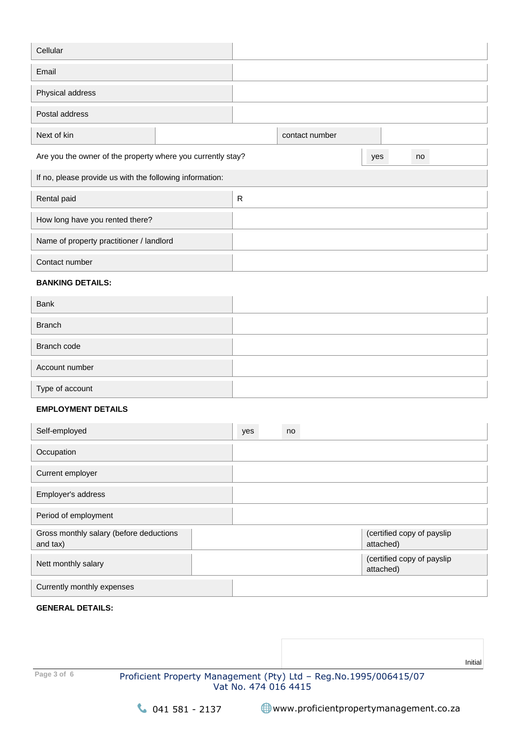| Cellular                                                    |   |                |     |    |
|-------------------------------------------------------------|---|----------------|-----|----|
| Email                                                       |   |                |     |    |
| Physical address                                            |   |                |     |    |
| Postal address                                              |   |                |     |    |
| Next of kin                                                 |   | contact number |     |    |
| Are you the owner of the property where you currently stay? |   |                | yes | no |
| If no, please provide us with the following information:    |   |                |     |    |
| Rental paid                                                 | R |                |     |    |
| How long have you rented there?                             |   |                |     |    |
| Name of property practitioner / landlord                    |   |                |     |    |
| Contact number                                              |   |                |     |    |

## **BANKING DETAILS:**

| Bank            |  |
|-----------------|--|
| <b>Branch</b>   |  |
| Branch code     |  |
| Account number  |  |
| Type of account |  |

## **EMPLOYMENT DETAILS**

| Self-employed                                       | yes | no |                                         |
|-----------------------------------------------------|-----|----|-----------------------------------------|
| Occupation                                          |     |    |                                         |
| Current employer                                    |     |    |                                         |
| Employer's address                                  |     |    |                                         |
| Period of employment                                |     |    |                                         |
| Gross monthly salary (before deductions<br>and tax) |     |    | (certified copy of payslip<br>attached) |
| Nett monthly salary                                 |     |    | (certified copy of payslip<br>attached) |
| Currently monthly expenses                          |     |    |                                         |

#### **GENERAL DETAILS:**

**Page 3 of 6** Proficient Property Management (Pty) Ltd – Reg.No.1995/006415/07 Vat No. 474 016 4415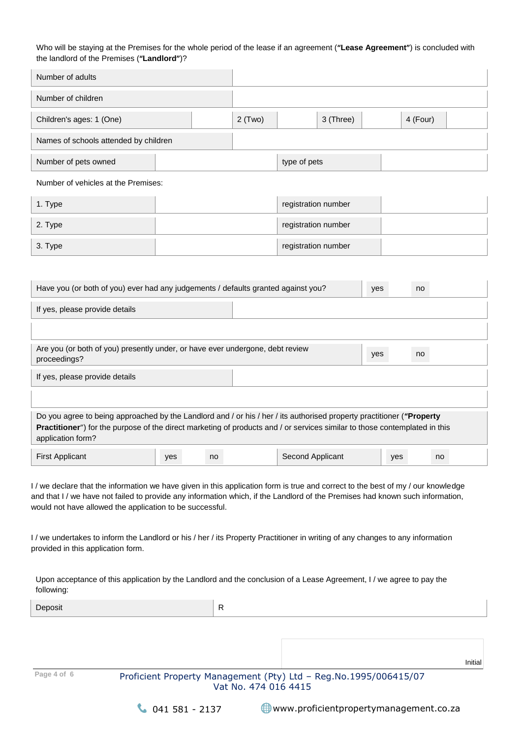#### Who will be staying at the Premises for the whole period of the lease if an agreement (**"Lease Agreement"**) is concluded with the landlord of the Premises (**"Landlord"**)?

| Number of adults                      |           |              |           |          |  |
|---------------------------------------|-----------|--------------|-----------|----------|--|
| Number of children                    |           |              |           |          |  |
| Children's ages: 1 (One)              | $2$ (Two) |              | 3 (Three) | 4 (Four) |  |
| Names of schools attended by children |           |              |           |          |  |
| Number of pets owned                  |           | type of pets |           |          |  |

Number of vehicles at the Premises:

| 1. Type | registration number |  |
|---------|---------------------|--|
| 2. Type | registration number |  |
| 3. Type | registration number |  |

| Have you (or both of you) ever had any judgements / defaults granted against you?                                                                                                                                                                                        | yes | no |                  |     |    |  |
|--------------------------------------------------------------------------------------------------------------------------------------------------------------------------------------------------------------------------------------------------------------------------|-----|----|------------------|-----|----|--|
| If yes, please provide details                                                                                                                                                                                                                                           |     |    |                  |     |    |  |
|                                                                                                                                                                                                                                                                          |     |    |                  |     |    |  |
| Are you (or both of you) presently under, or have ever undergone, debt review<br>proceedings?                                                                                                                                                                            |     |    |                  | yes | no |  |
| If yes, please provide details                                                                                                                                                                                                                                           |     |    |                  |     |    |  |
|                                                                                                                                                                                                                                                                          |     |    |                  |     |    |  |
| Do you agree to being approached by the Landlord and / or his / her / its authorised property practitioner ("Property<br>Practitioner") for the purpose of the direct marketing of products and / or services similar to those contemplated in this<br>application form? |     |    |                  |     |    |  |
| <b>First Applicant</b>                                                                                                                                                                                                                                                   | yes | no | Second Applicant | yes | no |  |

I / we declare that the information we have given in this application form is true and correct to the best of my / our knowledge and that I / we have not failed to provide any information which, if the Landlord of the Premises had known such information, would not have allowed the application to be successful.

I / we undertakes to inform the Landlord or his / her / its Property Practitioner in writing of any changes to any information provided in this application form.

Upon acceptance of this application by the Landlord and the conclusion of a Lease Agreement, I / we agree to pay the following:

| Deposit     | R                                                                                          |         |
|-------------|--------------------------------------------------------------------------------------------|---------|
|             |                                                                                            |         |
|             |                                                                                            |         |
|             |                                                                                            | Initial |
| Page 4 of 6 | Proficient Property Management (Pty) Ltd - Reg. No. 1995/006415/07<br>Vat No. 474 016 4415 |         |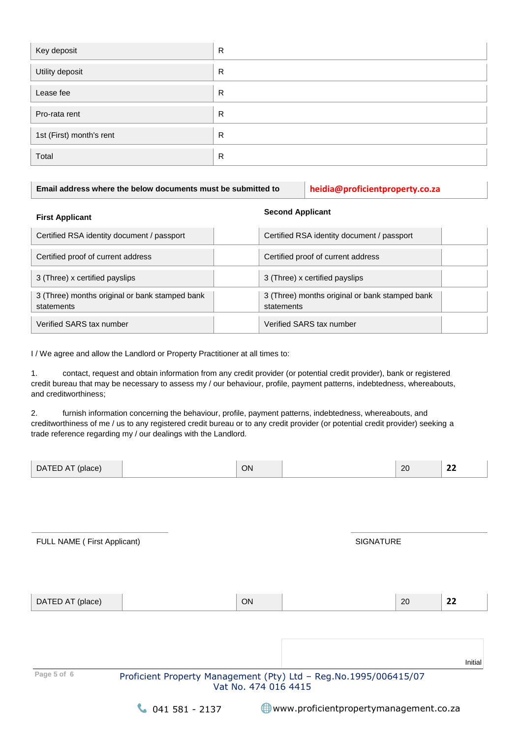| Key deposit              | R |
|--------------------------|---|
| Utility deposit          | R |
| Lease fee                | R |
| Pro-rata rent            | R |
| 1st (First) month's rent | R |
| Total                    | R |

**Email address where the below documents must be submitted to heidia@proficientproperty.co.za**

# **First Applicant Second Applicant**

| Certified RSA identity document / passport                   | Certified RSA identity document / passport                   |  |
|--------------------------------------------------------------|--------------------------------------------------------------|--|
| Certified proof of current address                           | Certified proof of current address                           |  |
| 3 (Three) x certified payslips                               | 3 (Three) x certified payslips                               |  |
| 3 (Three) months original or bank stamped bank<br>statements | 3 (Three) months original or bank stamped bank<br>statements |  |
| Verified SARS tax number                                     | Verified SARS tax number                                     |  |

I / We agree and allow the Landlord or Property Practitioner at all times to:

1. contact, request and obtain information from any credit provider (or potential credit provider), bank or registered credit bureau that may be necessary to assess my / our behaviour, profile, payment patterns, indebtedness, whereabouts, and creditworthiness;

2. furnish information concerning the behaviour, profile, payment patterns, indebtedness, whereabouts, and creditworthiness of me / us to any registered credit bureau or to any credit provider (or potential credit provider) seeking a trade reference regarding my / our dealings with the Landlord.

| DATED AT (place)            |                                                                  | ON                   |                  |  | 20 | 22      |  |
|-----------------------------|------------------------------------------------------------------|----------------------|------------------|--|----|---------|--|
|                             |                                                                  |                      |                  |  |    |         |  |
|                             |                                                                  |                      |                  |  |    |         |  |
|                             |                                                                  |                      |                  |  |    |         |  |
| FULL NAME (First Applicant) |                                                                  |                      | <b>SIGNATURE</b> |  |    |         |  |
|                             |                                                                  |                      |                  |  |    |         |  |
|                             |                                                                  |                      |                  |  |    |         |  |
| DATED AT (place)            |                                                                  | ON                   |                  |  | 20 | 22      |  |
|                             |                                                                  |                      |                  |  |    |         |  |
|                             |                                                                  |                      |                  |  |    |         |  |
|                             |                                                                  |                      |                  |  |    | Initial |  |
| Page 5 of 6                 | Proficient Property Management (Pty) Ltd - Reg.No.1995/006415/07 | Vat No. 474 016 4415 |                  |  |    |         |  |